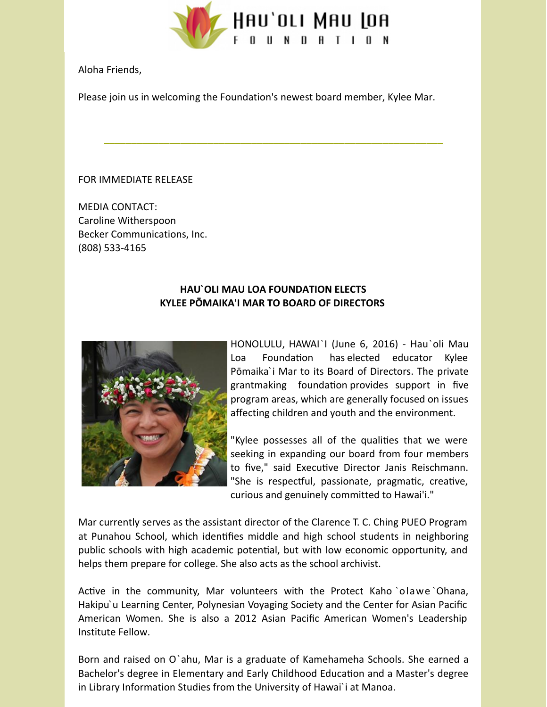

Aloha Friends,

Please join us in welcoming the Foundation's newest board member, Kylee Mar.

**\_\_\_\_\_\_\_\_\_\_\_\_\_\_\_\_\_\_\_\_\_\_\_\_\_\_\_\_\_\_\_\_\_\_\_\_\_\_\_\_\_\_\_\_\_\_\_\_\_\_\_\_\_\_\_\_\_\_\_\_\_\_**

## FOR IMMEDIATE RELEASE

MEDIA CONTACT: Caroline Witherspoon Becker Communications, Inc. (808) 533-4165

## **HAU`OLI MAU LOA FOUNDATION ELECTS KYLEE PŌMAIKA'I MAR TO BOARD OF DIRECTORS**



HONOLULU, HAWAI`I (June 6, 2016) - Hau`oli Mau Loa Foundation has elected educator Kylee Pōmaika`i Mar to its Board of Directors. The private grantmaking foundation provides support in five program areas, which are generally focused on issues affecting children and youth and the environment.

"Kylee possesses all of the qualities that we were seeking in expanding our board from four members to five," said Executive Director Janis Reischmann. "She is respectful, passionate, pragmatic, creative, curious and genuinely committed to Hawai'i."

Mar currently serves as the assistant director of the Clarence T. C. Ching PUEO Program at Punahou School, which identifies middle and high school students in neighboring public schools with high academic potential, but with low economic opportunity, and helps them prepare for college. She also acts as the school archivist.

Active in the community, Mar volunteers with the Protect Kaho `olawe `Ohana, Hakipu'u Learning Center, Polynesian Voyaging Society and the Center for Asian Pacific American Women. She is also a 2012 Asian Pacific American Women's Leadership Institute Fellow.

Born and raised on O`ahu, Mar is a graduate of Kamehameha Schools. She earned a Bachelor's degree in Elementary and Early Childhood Education and a Master's degree in Library Information Studies from the University of Hawai`i at Manoa.